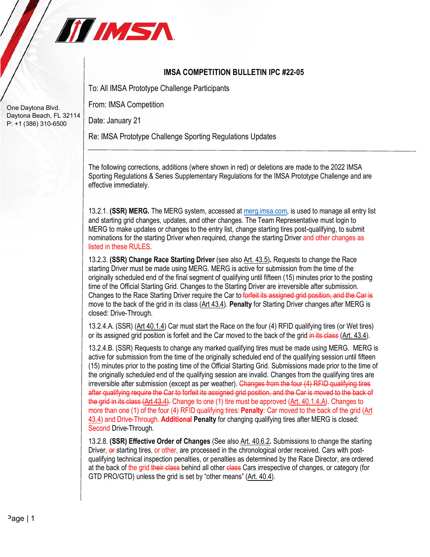

## **IMSA COMPETITION BULLETIN IPC #22-05**

To: All IMSA Prototype Challenge Participants

From: IMSA Competition

Date: January 21

Re: IMSA Prototype Challenge Sporting Regulations Updates

The following corrections, additions (where shown in red) or deletions are made to the 2022 IMSA Sporting Regulations & Series Supplementary Regulations for the IMSA Prototype Challenge and are effective immediately.

13.2.1. **(SSR) MERG.** The MERG system, accessed at merg.imsa.com, is used to manage all entry list and starting grid changes, updates, and other changes. The Team Representative must login to MERG to make updates or changes to the entry list, change starting tires post-qualifying, to submit nominations for the starting Driver when required, change the starting Driver and other changes as listed in these RULES.

13.2.3. **(SSR) Change Race Starting Driver** (see also Art. 43.5)**.** Requests to change the Race starting Driver must be made using MERG. MERG is active for submission from the time of the originally scheduled end of the final segment of qualifying until fifteen (15) minutes prior to the posting time of the Official Starting Grid. Changes to the Starting Driver are irreversible after submission. Changes to the Race Starting Driver require the Car to forfeit its assigned grid position, and the Car is move to the back of the grid in its class (Art 43.4). **Penalty** for Starting Driver changes after MERG is closed: Drive-Through.

13.2.4.A. (SSR) (Art 40.1.4) Car must start the Race on the four (4) RFID qualifying tires (or Wet tires) or its assigned grid position is forfeit and the Car moved to the back of the grid in its class (Art. 43.4).

13.2.4.B. (SSR) Requests to change any marked qualifying tires must be made using MERG. MERG is active for submission from the time of the originally scheduled end of the qualifying session until fifteen (15) minutes prior to the posting time of the Official Starting Grid. Submissions made prior to the time of the originally scheduled end of the qualifying session are invalid. Changes from the qualifying tires are irreversible after submission (except as per weather). Changes from the four (4) RFID qualifying tires after qualifying require the Car to forfeit its assigned grid position, and the Car is moved to the back of the grid in its class (Art 43.4). Change to one (1) tire must be approved (Art. 40.1.4.A). Changes to more than one (1) of the four (4) RFID qualifying tires: **Penalty**: Car moved to the back of the grid (Art 43.4) and Drive-Through. **Additional Penalty** for changing qualifying tires after MERG is closed: Second Drive-Through.

13.2.8. **(SSR) Effective Order of Changes** (See also Art. 40.6.2**.** Submissions to change the starting Driver, or starting tires, or other, are processed in the chronological order received. Cars with postqualifying technical inspection penalties, or penalties as determined by the Race Director, are ordered at the back of the grid their class behind all other class Cars irrespective of changes, or category (for GTD PRO/GTD) unless the grid is set by "other means" (Art. 40.4).

One Daytona Blvd. Daytona Beach, FL 32114 P: +1 (386) 310-6500